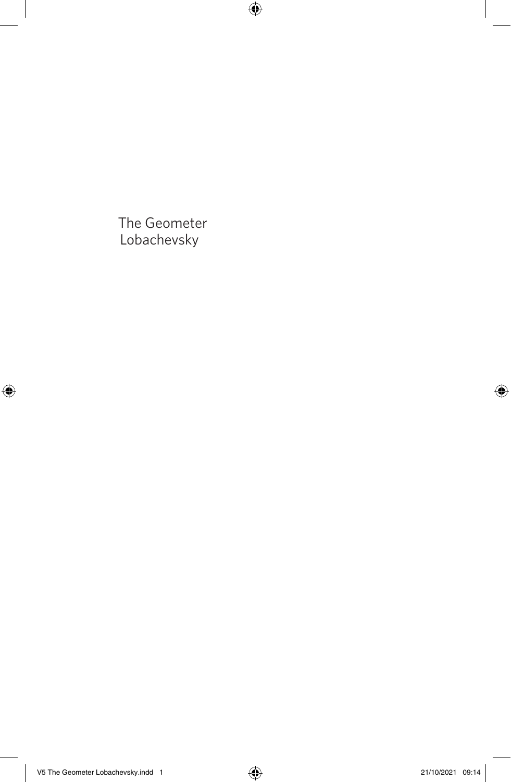The Geometer Lobachevsky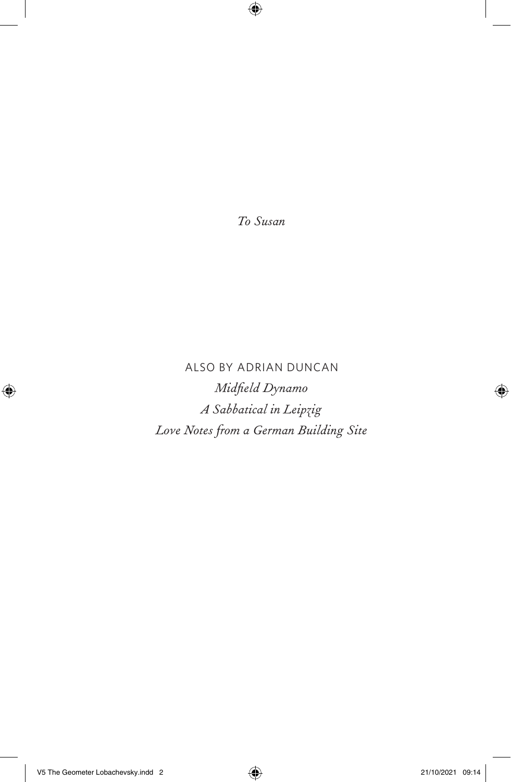*To Susan*

ALSO BY ADRIAN DUNCAN *Midfield Dynamo A Sabbatical in Leipzig Love Notes from a German Building Site*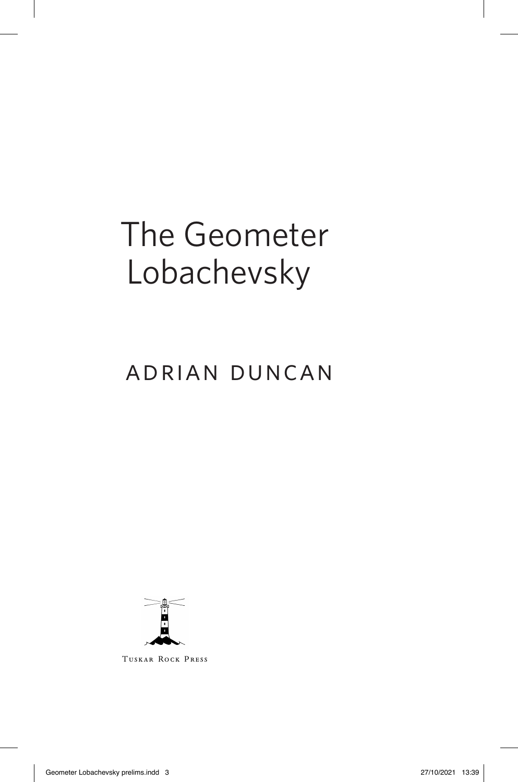## The Geometer Lobachevsky

## adrian duncan



Tuskar Rock Press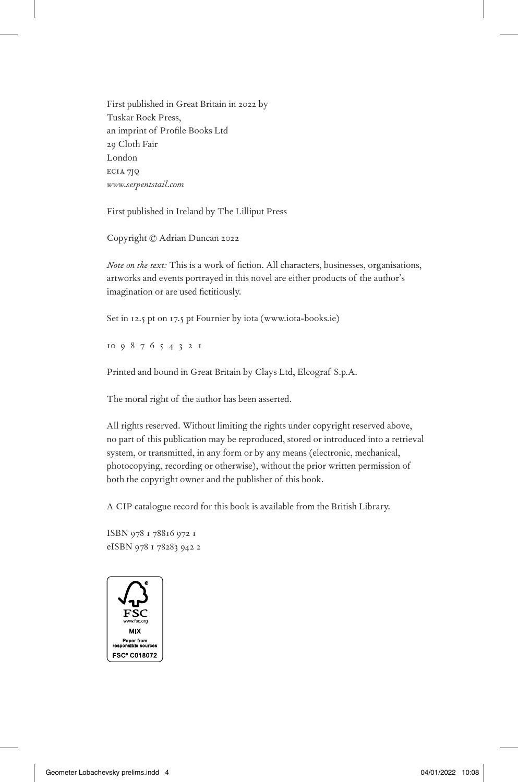First published in Great Britain in 2022 by Tuskar Rock Press, an imprint of Profile Books Ltd 29 Cloth Fair London ec1a 7jq *www.serpentstail.com*

First published in Ireland by The Lilliput Press

Copyright © Adrian Duncan 2022

*Note on the text:* This is a work of fiction. All characters, businesses, organisations, artworks and events portrayed in this novel are either products of the author's imagination or are used fictitiously.

Set in 12.5 pt on 17.5 pt Fournier by iota (www.iota-books.ie)

10 9 8 7 6 5 4 3 2 1

Printed and bound in Great Britain by Clays Ltd, Elcograf S.p.A.

The moral right of the author has been asserted.

All rights reserved. Without limiting the rights under copyright reserved above, no part of this publication may be reproduced, stored or introduced into a retrieval system, or transmitted, in any form or by any means (electronic, mechanical, photocopying, recording or otherwise), without the prior written permission of both the copyright owner and the publisher of this book.

A CIP catalogue record for this book is available from the British Library.

ISBN 978 1 78816 972 1 eISBN 978 1 78283 942 2

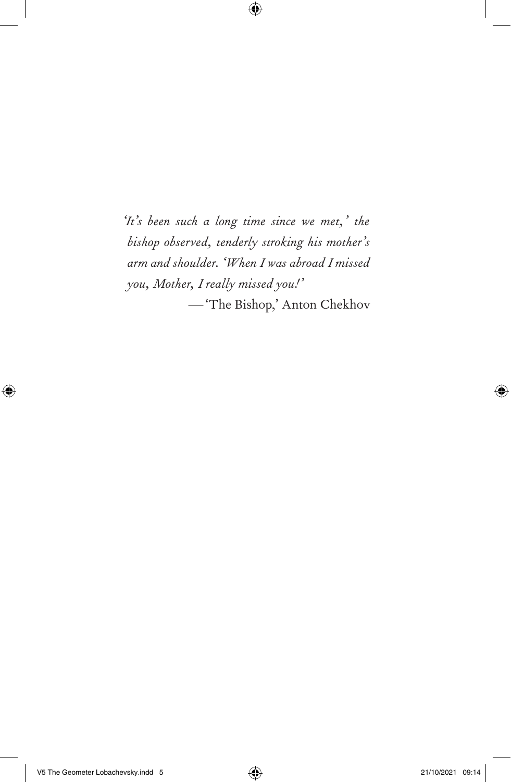*'It's been such a long time since we met,' the bishop observed, tenderly stroking his mother's arm and shoulder. 'When I was abroad I missed you, Mother, I really missed you!' —*'The Bishop,' Anton Chekhov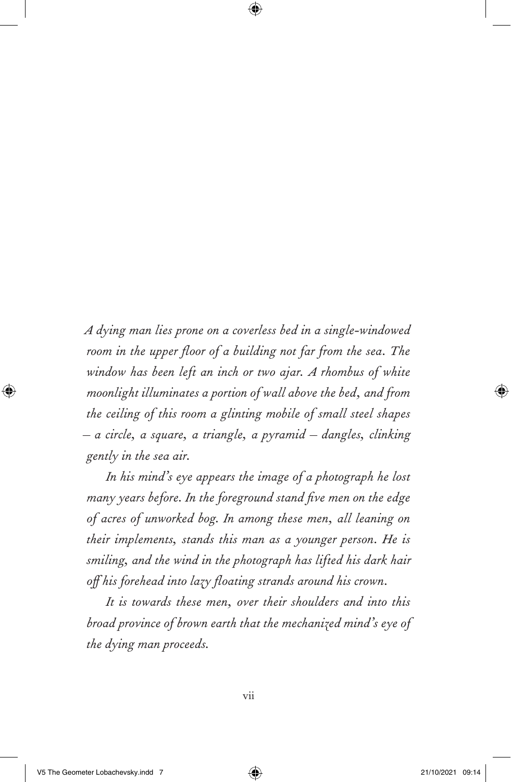*A dying man lies prone on a coverless bed in a single-windowed room in the upper floor of a building not far from the sea. The window has been left an inch or two ajar. A rhombus of white moonlight illuminates a portion of wall above the bed, and from the ceiling of this room a glinting mobile of small steel shapes – a circle, a square, a triangle, a pyramid – dangles, clinking gently in the sea air.*

*In his mind's eye appears the image of a photograph he lost many years before. In the foreground stand five men on the edge of acres of unworked bog. In among these men, all leaning on their implements, stands this man as a younger person. He is smiling, and the wind in the photograph has lifted his dark hair off his forehead into lazy floating strands around his crown.*

*It is towards these men, over their shoulders and into this broad province of brown earth that the mechanized mind's eye of the dying man proceeds.*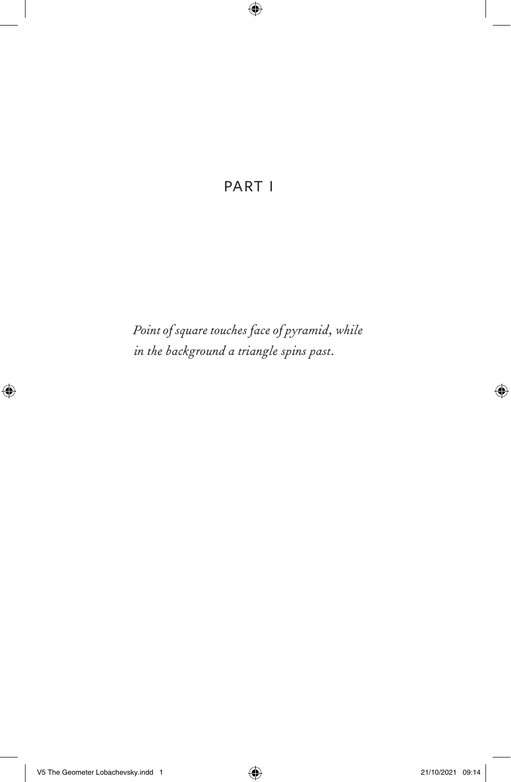## part i

*Point of square touches face of pyramid, while in the background a triangle spins past.*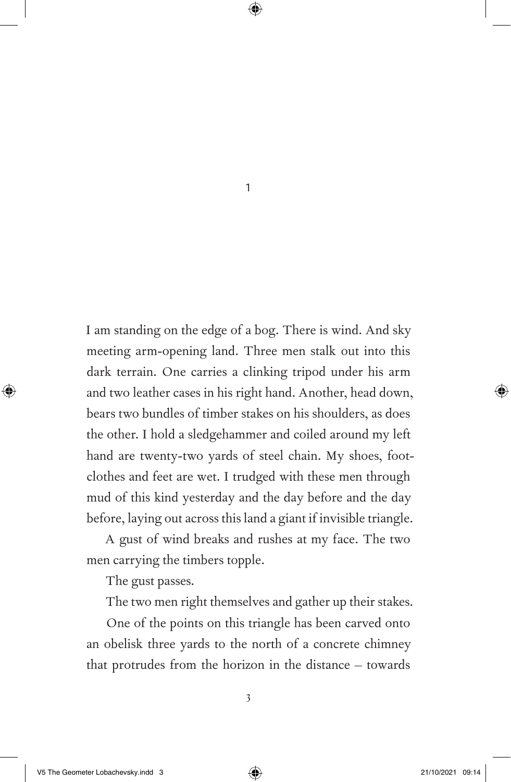I am standing on the edge of a bog. There is wind. And sky meeting arm-opening land. Three men stalk out into this dark terrain. One carries a clinking tripod under his arm and two leather cases in his right hand. Another, head down, bears two bundles of timber stakes on his shoulders, as does the other. I hold a sledgehammer and coiled around my left hand are twenty-two yards of steel chain. My shoes, footclothes and feet are wet. I trudged with these men through mud of this kind yesterday and the day before and the day before, laying out across this land a giant if invisible triangle.

A gust of wind breaks and rushes at my face. The two men carrying the timbers topple.

The gust passes.

The two men right themselves and gather up their stakes.

One of the points on this triangle has been carved onto an obelisk three yards to the north of a concrete chimney that protrudes from the horizon in the distance – towards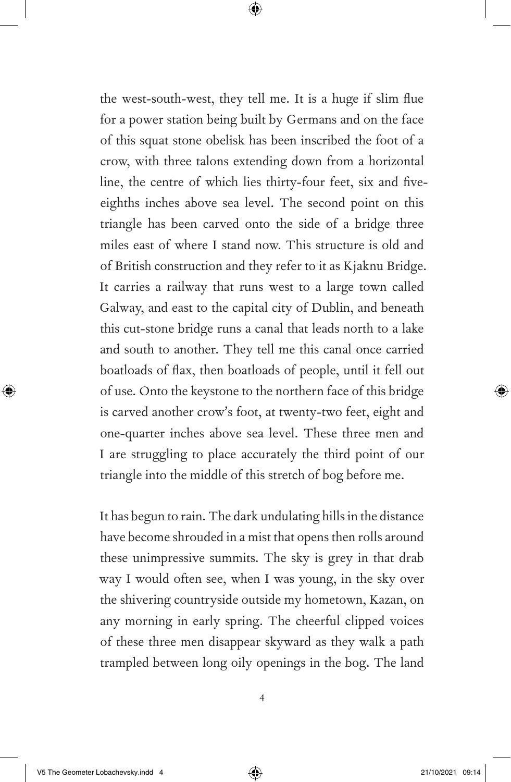the west-south-west, they tell me. It is a huge if slim flue for a power station being built by Germans and on the face of this squat stone obelisk has been inscribed the foot of a crow, with three talons extending down from a horizontal line, the centre of which lies thirty-four feet, six and fiveeighths inches above sea level. The second point on this triangle has been carved onto the side of a bridge three miles east of where I stand now. This structure is old and of British construction and they refer to it as Kjaknu Bridge. It carries a railway that runs west to a large town called Galway, and east to the capital city of Dublin, and beneath this cut-stone bridge runs a canal that leads north to a lake and south to another. They tell me this canal once carried boatloads of flax, then boatloads of people, until it fell out of use. Onto the keystone to the northern face of this bridge is carved another crow's foot, at twenty-two feet, eight and one-quarter inches above sea level. These three men and I are struggling to place accurately the third point of our triangle into the middle of this stretch of bog before me.

It has begun to rain. The dark undulating hills in the distance have become shrouded in a mist that opens then rolls around these unimpressive summits. The sky is grey in that drab way I would often see, when I was young, in the sky over the shivering countryside outside my hometown, Kazan, on any morning in early spring. The cheerful clipped voices of these three men disappear skyward as they walk a path trampled between long oily openings in the bog. The land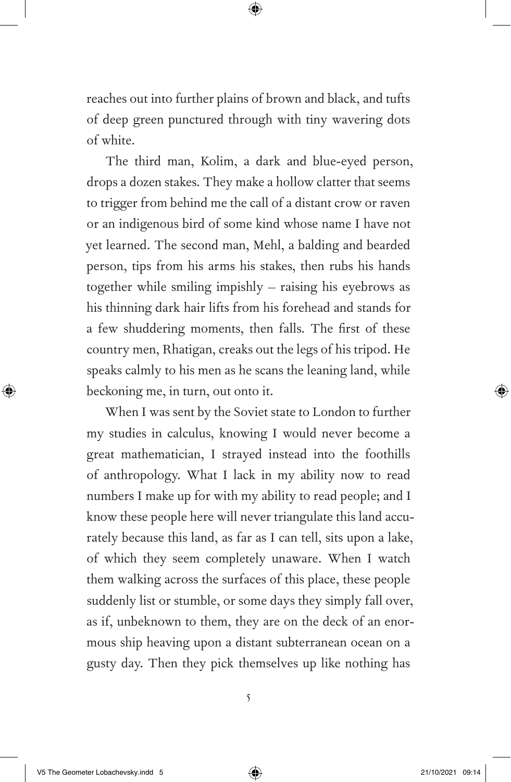reaches out into further plains of brown and black, and tufts of deep green punctured through with tiny wavering dots of white.

The third man, Kolim, a dark and blue-eyed person, drops a dozen stakes. They make a hollow clatter that seems to trigger from behind me the call of a distant crow or raven or an indigenous bird of some kind whose name I have not yet learned. The second man, Mehl, a balding and bearded person, tips from his arms his stakes, then rubs his hands together while smiling impishly – raising his eyebrows as his thinning dark hair lifts from his forehead and stands for a few shuddering moments, then falls. The first of these country men, Rhatigan, creaks out the legs of his tripod. He speaks calmly to his men as he scans the leaning land, while beckoning me, in turn, out onto it.

When I was sent by the Soviet state to London to further my studies in calculus, knowing I would never become a great mathematician, I strayed instead into the foothills of anthropology. What I lack in my ability now to read numbers I make up for with my ability to read people; and I know these people here will never triangulate this land accurately because this land, as far as I can tell, sits upon a lake, of which they seem completely unaware. When I watch them walking across the surfaces of this place, these people suddenly list or stumble, or some days they simply fall over, as if, unbeknown to them, they are on the deck of an enormous ship heaving upon a distant subterranean ocean on a gusty day. Then they pick themselves up like nothing has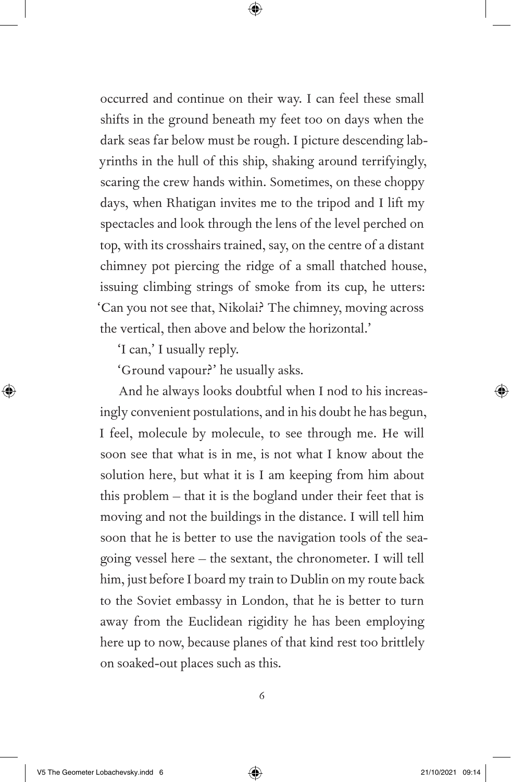occurred and continue on their way. I can feel these small shifts in the ground beneath my feet too on days when the dark seas far below must be rough. I picture descending labyrinths in the hull of this ship, shaking around terrifyingly, scaring the crew hands within. Sometimes, on these choppy days, when Rhatigan invites me to the tripod and I lift my spectacles and look through the lens of the level perched on top, with its crosshairs trained, say, on the centre of a distant chimney pot piercing the ridge of a small thatched house, issuing climbing strings of smoke from its cup, he utters: 'Can you not see that, Nikolai? The chimney, moving across the vertical, then above and below the horizontal.'

'I can,' I usually reply.

'Ground vapour?' he usually asks.

And he always looks doubtful when I nod to his increasingly convenient postulations, and in his doubt he has begun, I feel, molecule by molecule, to see through me. He will soon see that what is in me, is not what I know about the solution here, but what it is I am keeping from him about this problem – that it is the bogland under their feet that is moving and not the buildings in the distance. I will tell him soon that he is better to use the navigation tools of the seagoing vessel here – the sextant, the chronometer. I will tell him, just before I board my train to Dublin on my route back to the Soviet embassy in London, that he is better to turn away from the Euclidean rigidity he has been employing here up to now, because planes of that kind rest too brittlely on soaked-out places such as this.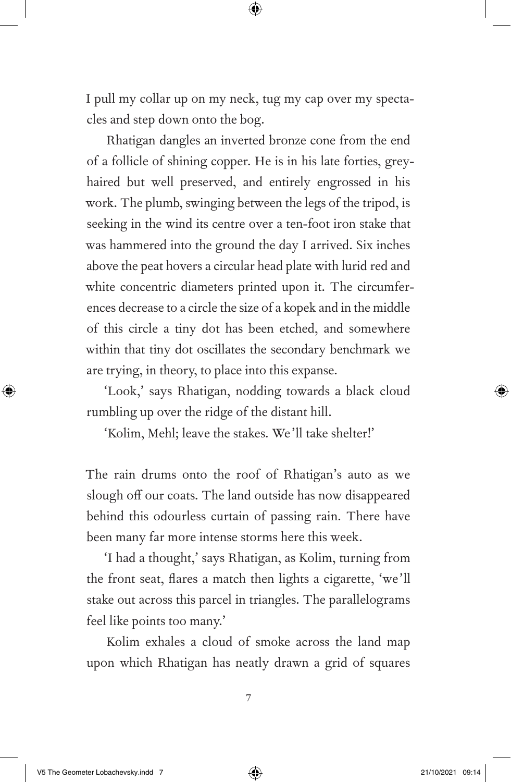I pull my collar up on my neck, tug my cap over my spectacles and step down onto the bog.

Rhatigan dangles an inverted bronze cone from the end of a follicle of shining copper. He is in his late forties, greyhaired but well preserved, and entirely engrossed in his work. The plumb, swinging between the legs of the tripod, is seeking in the wind its centre over a ten-foot iron stake that was hammered into the ground the day I arrived. Six inches above the peat hovers a circular head plate with lurid red and white concentric diameters printed upon it. The circumferences decrease to a circle the size of a kopek and in the middle of this circle a tiny dot has been etched, and somewhere within that tiny dot oscillates the secondary benchmark we are trying, in theory, to place into this expanse.

'Look,' says Rhatigan, nodding towards a black cloud rumbling up over the ridge of the distant hill.

'Kolim, Mehl; leave the stakes. We'll take shelter!'

The rain drums onto the roof of Rhatigan's auto as we slough off our coats. The land outside has now disappeared behind this odourless curtain of passing rain. There have been many far more intense storms here this week.

'I had a thought,' says Rhatigan, as Kolim, turning from the front seat, flares a match then lights a cigarette, 'we'll stake out across this parcel in triangles. The parallelograms feel like points too many.'

Kolim exhales a cloud of smoke across the land map upon which Rhatigan has neatly drawn a grid of squares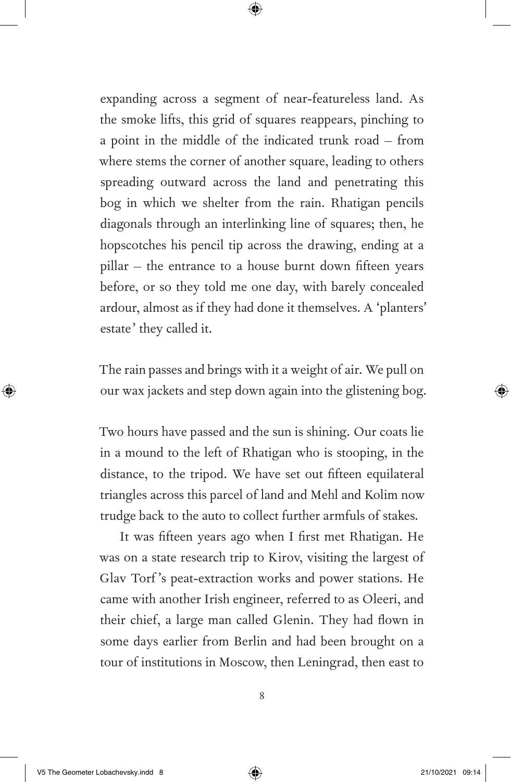expanding across a segment of near-featureless land. As the smoke lifts, this grid of squares reappears, pinching to a point in the middle of the indicated trunk road – from where stems the corner of another square, leading to others spreading outward across the land and penetrating this bog in which we shelter from the rain. Rhatigan pencils diagonals through an interlinking line of squares; then, he hopscotches his pencil tip across the drawing, ending at a pillar – the entrance to a house burnt down fifteen years before, or so they told me one day, with barely concealed ardour, almost as if they had done it themselves. A 'planters' estate' they called it.

The rain passes and brings with it a weight of air. We pull on our wax jackets and step down again into the glistening bog.

Two hours have passed and the sun is shining. Our coats lie in a mound to the left of Rhatigan who is stooping, in the distance, to the tripod. We have set out fifteen equilateral triangles across this parcel of land and Mehl and Kolim now trudge back to the auto to collect further armfuls of stakes.

It was fifteen years ago when I first met Rhatigan. He was on a state research trip to Kirov, visiting the largest of Glav Torf 's peat-extraction works and power stations. He came with another Irish engineer, referred to as Oleeri, and their chief, a large man called Glenin. They had flown in some days earlier from Berlin and had been brought on a tour of institutions in Moscow, then Leningrad, then east to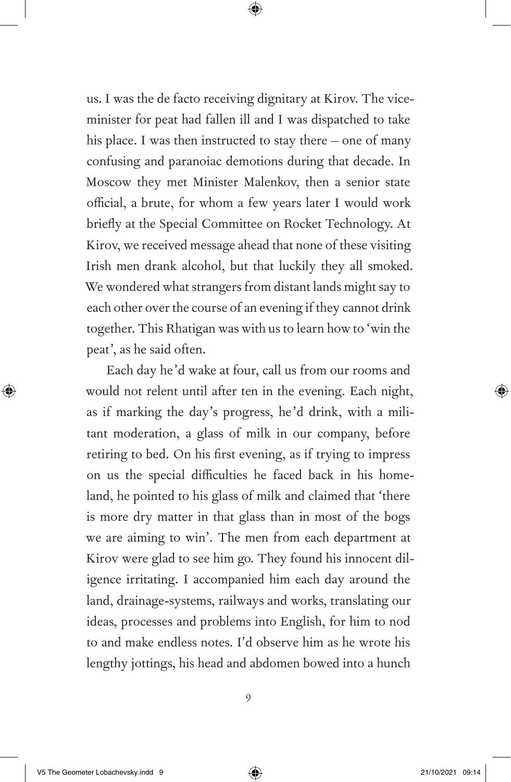us. I was the de facto receiving dignitary at Kirov. The viceminister for peat had fallen ill and I was dispatched to take his place. I was then instructed to stay there – one of many confusing and paranoiac demotions during that decade. In Moscow they met Minister Malenkov, then a senior state official, a brute, for whom a few years later I would work briefly at the Special Committee on Rocket Technology. At Kirov, we received message ahead that none of these visiting Irish men drank alcohol, but that luckily they all smoked. We wondered what strangers from distant lands might say to each other over the course of an evening if they cannot drink together. This Rhatigan was with us to learn how to 'win the peat', as he said often.

Each day he'd wake at four, call us from our rooms and would not relent until after ten in the evening. Each night, as if marking the day's progress, he'd drink, with a militant moderation, a glass of milk in our company, before retiring to bed. On his first evening, as if trying to impress on us the special difficulties he faced back in his homeland, he pointed to his glass of milk and claimed that 'there is more dry matter in that glass than in most of the bogs we are aiming to win'. The men from each department at Kirov were glad to see him go. They found his innocent diligence irritating. I accompanied him each day around the land, drainage-systems, railways and works, translating our ideas, processes and problems into English, for him to nod to and make endless notes. I'd observe him as he wrote his lengthy jottings, his head and abdomen bowed into a hunch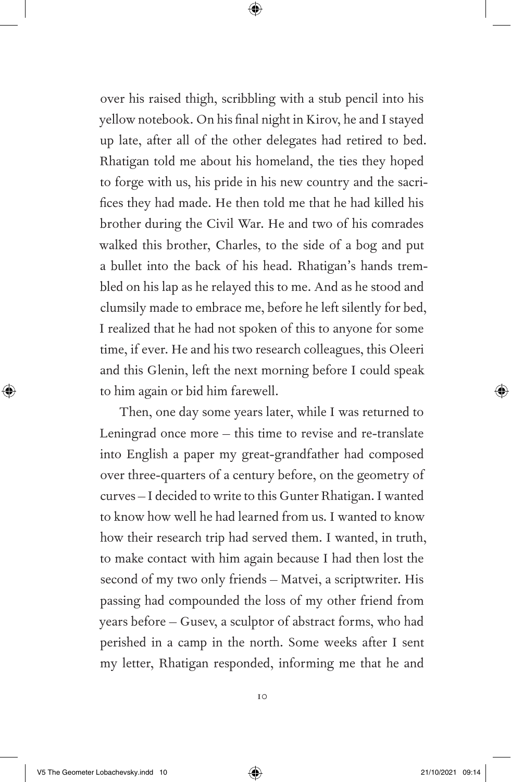over his raised thigh, scribbling with a stub pencil into his yellow notebook. On his final night in Kirov, he and I stayed up late, after all of the other delegates had retired to bed. Rhatigan told me about his homeland, the ties they hoped to forge with us, his pride in his new country and the sacrifices they had made. He then told me that he had killed his brother during the Civil War. He and two of his comrades walked this brother, Charles, to the side of a bog and put a bullet into the back of his head. Rhatigan's hands trembled on his lap as he relayed this to me. And as he stood and clumsily made to embrace me, before he left silently for bed, I realized that he had not spoken of this to anyone for some time, if ever. He and his two research colleagues, this Oleeri and this Glenin, left the next morning before I could speak to him again or bid him farewell.

Then, one day some years later, while I was returned to Leningrad once more – this time to revise and re-translate into English a paper my great-grandfather had composed over three-quarters of a century before, on the geometry of curves – I decided to write to this Gunter Rhatigan. I wanted to know how well he had learned from us. I wanted to know how their research trip had served them. I wanted, in truth, to make contact with him again because I had then lost the second of my two only friends – Matvei, a scriptwriter. His passing had compounded the loss of my other friend from years before – Gusev, a sculptor of abstract forms, who had perished in a camp in the north. Some weeks after I sent my letter, Rhatigan responded, informing me that he and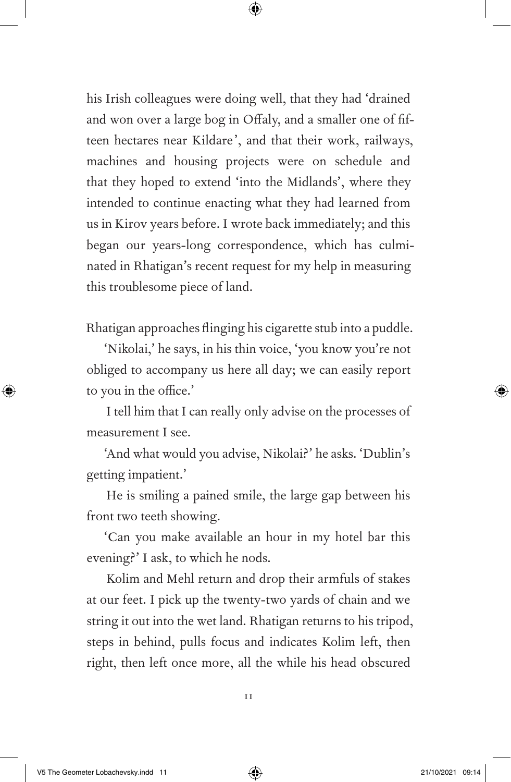his Irish colleagues were doing well, that they had 'drained and won over a large bog in Offaly, and a smaller one of fifteen hectares near Kildare', and that their work, railways, machines and housing projects were on schedule and that they hoped to extend 'into the Midlands', where they intended to continue enacting what they had learned from us in Kirov years before. I wrote back immediately; and this began our years-long correspondence, which has culminated in Rhatigan's recent request for my help in measuring this troublesome piece of land.

Rhatigan approaches flinging his cigarette stub into a puddle.

'Nikolai,' he says, in his thin voice, 'you know you're not obliged to accompany us here all day; we can easily report to you in the office.'

I tell him that I can really only advise on the processes of measurement I see.

'And what would you advise, Nikolai?' he asks. 'Dublin's getting impatient.'

He is smiling a pained smile, the large gap between his front two teeth showing.

'Can you make available an hour in my hotel bar this evening?' I ask, to which he nods.

Kolim and Mehl return and drop their armfuls of stakes at our feet. I pick up the twenty-two yards of chain and we string it out into the wet land. Rhatigan returns to his tripod, steps in behind, pulls focus and indicates Kolim left, then right, then left once more, all the while his head obscured